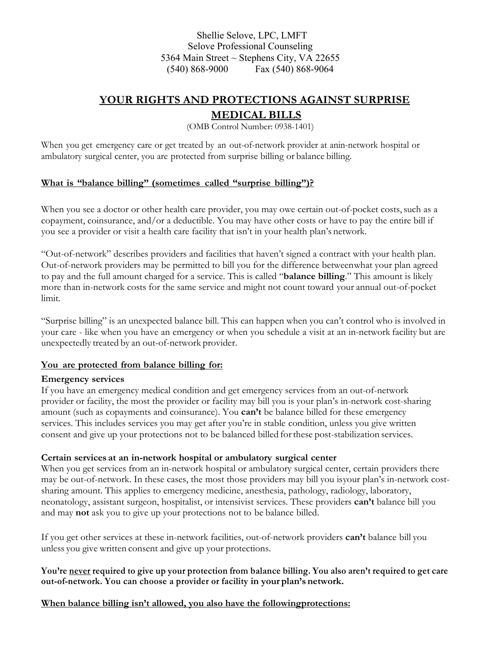Shellie Selove, LPC, LMFT Selove Professional Counseling 5364 Main Street  $\sim$  Stephens City, VA 22655 (540) 868-9000 Fax (540) 868-9064

# **YOUR RIGHTS AND PROTECTIONS AGAINST SURPRISE**

## **MEDICAL BILLS**

(OMB Control Number: 0938-1401)

When you get emergency care or get treated by an out-of-network provider at anin-network hospital or ambulatory surgical center, you are protected from surprise billing or balance billing.

#### **What is "balance billing" (sometimes called "surprise billing")?**

When you see a doctor or other health care provider, you may owe certain out-of-pocket costs, such as a copayment, coinsurance, and/or a deductible. You may have other costs or have to pay the entire bill if you see a provider or visit a health care facility that isn't in your health plan's network.

"Out-of-network" describes providers and facilities that haven't signed a contract with your health plan. Out-of-network providers may be permitted to bill you for the difference betweenwhat your plan agreed to pay and the full amount charged for a service. This is called "**balance billing**." This amount is likely more than in-network costs for the same service and might not count toward your annual out-of-pocket limit.

"Surprise billing" is an unexpected balance bill. This can happen when you can't control who is involved in your care - like when you have an emergency or when you schedule a visit at an in-network facility but are unexpectedly treated by an out-of-network provider.

### **You are protected from balance billing for:**

### **Emergency services**

If you have an emergency medical condition and get emergency services from an out-of-network provider or facility, the most the provider or facility may bill you is your plan's in-network cost-sharing amount (such as copayments and coinsurance). You **can't** be balance billed for these emergency services. This includes services you may get after you're in stable condition, unless you give written consent and give up your protections not to be balanced billed forthese post-stabilization services.

### **Certain services at an in-network hospital or ambulatory surgical center**

When you get services from an in-network hospital or ambulatory surgical center, certain providers there may be out-of-network. In these cases, the most those providers may bill you isyour plan's in-network costsharing amount. This applies to emergency medicine, anesthesia, pathology, radiology, laboratory, neonatology, assistant surgeon, hospitalist, or intensivist services. These providers **can't** balance bill you and may **not** ask you to give up your protections not to be balance billed.

If you get other services at these in-network facilities, out-of-network providers **can't** balance bill you unless you give written consent and give up your protections.

### **You're never required to give up your protection from balance billing. You also aren't required to get care out-of-network. You can choose a provider or facility in your plan's network.**

**When balance billing isn't allowed, you also have the followingprotections:**